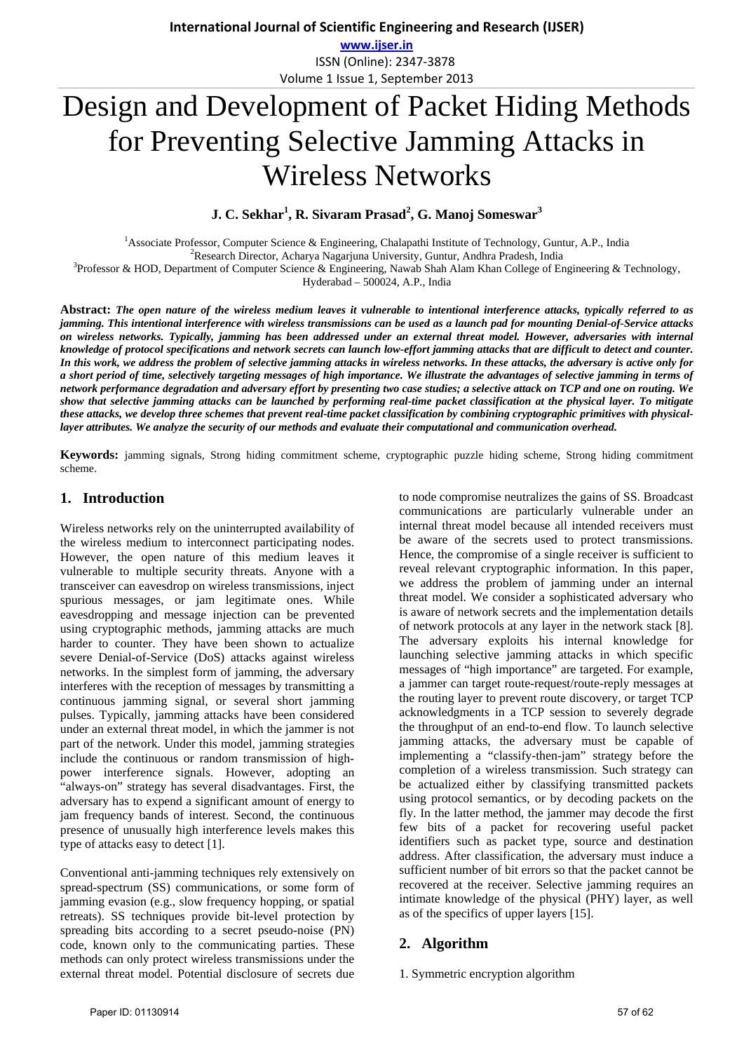**www.ijser.in** ISSN (Online): 2347-3878 Volume 1 Issue 1, September 2013

# Design and Development of Packet Hiding Methods for Preventing Selective Jamming Attacks in Wireless Networks

 $\,$  **J. C. Sekhar** $\,$ **<sup>1</sup>, R. Sivaram Prasad** $\,$ **<sup>2</sup>, G. Manoj Someswar** $\,$ **<sup>3</sup>** 

<sup>1</sup> Associate Professor, Computer Science & Engineering, Chalapathi Institute of Technology, Guntur, A.P., India <sup>2</sup> Bessarsh Director, Agbrane Negerium University, Guntur, Andhre Prodech, India

Research Director, Acharya Nagarjuna University, Guntur, Andhra Pradesh, India 3

<sup>3</sup>Professor & HOD, Department of Computer Science & Engineering, Nawab Shah Alam Khan College of Engineering & Technology,

Hyderabad – 500024, A.P., India

**Abstract:** *The open nature of the wireless medium leaves it vulnerable to intentional interference attacks, typically referred to as jamming. This intentional interference with wireless transmissions can be used as a launch pad for mounting Denial-of-Service attacks on wireless networks. Typically, jamming has been addressed under an external threat model. However, adversaries with internal knowledge of protocol specifications and network secrets can launch low-effort jamming attacks that are difficult to detect and counter. In this work, we address the problem of selective jamming attacks in wireless networks. In these attacks, the adversary is active only for a short period of time, selectively targeting messages of high importance. We illustrate the advantages of selective jamming in terms of network performance degradation and adversary effort by presenting two case studies; a selective attack on TCP and one on routing. We show that selective jamming attacks can be launched by performing real-time packet classification at the physical layer. To mitigate these attacks, we develop three schemes that prevent real-time packet classification by combining cryptographic primitives with physicallayer attributes. We analyze the security of our methods and evaluate their computational and communication overhead.* 

**Keywords:** jamming signals, Strong hiding commitment scheme, cryptographic puzzle hiding scheme, Strong hiding commitment scheme.

## **1. Introduction**

Wireless networks rely on the uninterrupted availability of the wireless medium to interconnect participating nodes. However, the open nature of this medium leaves it vulnerable to multiple security threats. Anyone with a transceiver can eavesdrop on wireless transmissions, inject spurious messages, or jam legitimate ones. While eavesdropping and message injection can be prevented using cryptographic methods, jamming attacks are much harder to counter. They have been shown to actualize severe Denial-of-Service (DoS) attacks against wireless networks. In the simplest form of jamming, the adversary interferes with the reception of messages by transmitting a continuous jamming signal, or several short jamming pulses. Typically, jamming attacks have been considered under an external threat model, in which the jammer is not part of the network. Under this model, jamming strategies include the continuous or random transmission of highpower interference signals. However, adopting an "always-on" strategy has several disadvantages. First, the adversary has to expend a significant amount of energy to jam frequency bands of interest. Second, the continuous presence of unusually high interference levels makes this type of attacks easy to detect [1].

Conventional anti-jamming techniques rely extensively on spread-spectrum (SS) communications, or some form of jamming evasion (e.g., slow frequency hopping, or spatial retreats). SS techniques provide bit-level protection by spreading bits according to a secret pseudo-noise (PN) code, known only to the communicating parties. These methods can only protect wireless transmissions under the external threat model. Potential disclosure of secrets due to node compromise neutralizes the gains of SS. Broadcast communications are particularly vulnerable under an internal threat model because all intended receivers must be aware of the secrets used to protect transmissions. Hence, the compromise of a single receiver is sufficient to reveal relevant cryptographic information. In this paper, we address the problem of jamming under an internal threat model. We consider a sophisticated adversary who is aware of network secrets and the implementation details of network protocols at any layer in the network stack [8]. The adversary exploits his internal knowledge for launching selective jamming attacks in which specific messages of "high importance" are targeted. For example, a jammer can target route-request/route-reply messages at the routing layer to prevent route discovery, or target TCP acknowledgments in a TCP session to severely degrade the throughput of an end-to-end flow. To launch selective jamming attacks, the adversary must be capable of implementing a "classify-then-jam" strategy before the completion of a wireless transmission. Such strategy can be actualized either by classifying transmitted packets using protocol semantics, or by decoding packets on the fly. In the latter method, the jammer may decode the first few bits of a packet for recovering useful packet identifiers such as packet type, source and destination address. After classification, the adversary must induce a sufficient number of bit errors so that the packet cannot be recovered at the receiver. Selective jamming requires an intimate knowledge of the physical (PHY) layer, as well as of the specifics of upper layers [15].

# **2. Algorithm**

1. Symmetric encryption algorithm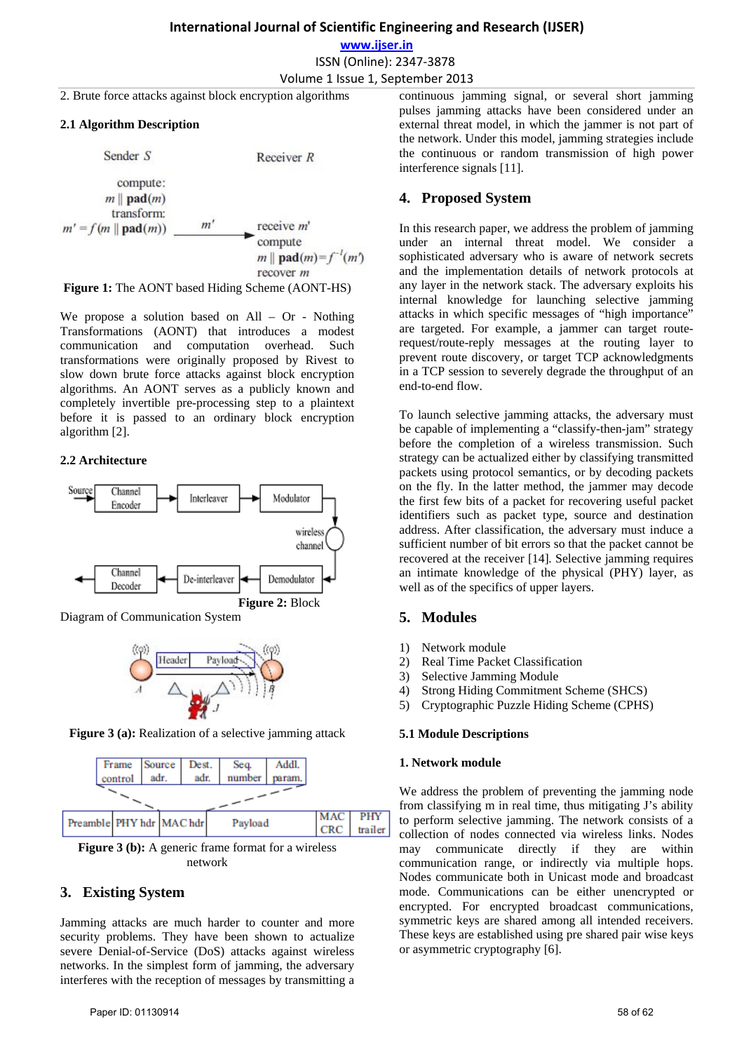**www.ijser.in**

ISSN (Online): 2347-3878

Volume 1 Issue 1, September 2013

2. Brute force attacks against block encryption algorithms

#### **2.1 Algorithm Description**

Sender S Receiver  $R$ compute:  $m \parallel$  pad $(m)$ transform:  $m$ receive m  $m' = f(m \mid pad(m))$ compute  $m \parallel$  pad $(m)=f$ recover m

**Figure 1:** The AONT based Hiding Scheme (AONT-HS)

We propose a solution based on All  $-$  Or - Nothing Transformations (AONT) that introduces a modest communication and computation overhead. Such transformations were originally proposed by Rivest to slow down brute force attacks against block encryption algorithms. An AONT serves as a publicly known and completely invertible pre-processing step to a plaintext before it is passed to an ordinary block encryption algorithm [2].

#### **2.2 Architecture**



Diagram of Communication System



**Figure 3 (a):** Realization of a selective jamming attack



**Figure 3 (b):** A generic frame format for a wireless network

#### **3. Existing System**

Jamming attacks are much harder to counter and more security problems. They have been shown to actualize severe Denial-of-Service (DoS) attacks against wireless networks. In the simplest form of jamming, the adversary interferes with the reception of messages by transmitting a

Paper ID: 01130914 58 of 62

continuous jamming signal, or several short jamming pulses jamming attacks have been considered under an external threat model, in which the jammer is not part of the network. Under this model, jamming strategies include the continuous or random transmission of high power interference signals [11].

## **4. Proposed System**

In this research paper, we address the problem of jamming under an internal threat model. We consider a sophisticated adversary who is aware of network secrets and the implementation details of network protocols at any layer in the network stack. The adversary exploits his internal knowledge for launching selective jamming attacks in which specific messages of "high importance" are targeted. For example, a jammer can target routerequest/route-reply messages at the routing layer to prevent route discovery, or target TCP acknowledgments in a TCP session to severely degrade the throughput of an end-to-end flow.

To launch selective jamming attacks, the adversary must be capable of implementing a "classify-then-jam" strategy before the completion of a wireless transmission. Such strategy can be actualized either by classifying transmitted packets using protocol semantics, or by decoding packets on the fly. In the latter method, the jammer may decode the first few bits of a packet for recovering useful packet identifiers such as packet type, source and destination address. After classification, the adversary must induce a sufficient number of bit errors so that the packet cannot be recovered at the receiver [14]. Selective jamming requires an intimate knowledge of the physical (PHY) layer, as well as of the specifics of upper layers.

## **5. Modules**

- 1) Network module
- 2) Real Time Packet Classification
- 3) Selective Jamming Module
- 4) Strong Hiding Commitment Scheme (SHCS)
- 5) Cryptographic Puzzle Hiding Scheme (CPHS)

#### **5.1 Module Descriptions**

#### **1. Network module**

We address the problem of preventing the jamming node from classifying m in real time, thus mitigating J's ability to perform selective jamming. The network consists of a collection of nodes connected via wireless links. Nodes may communicate directly if they are within communication range, or indirectly via multiple hops. Nodes communicate both in Unicast mode and broadcast mode. Communications can be either unencrypted or encrypted. For encrypted broadcast communications, symmetric keys are shared among all intended receivers. These keys are established using pre shared pair wise keys or asymmetric cryptography [6].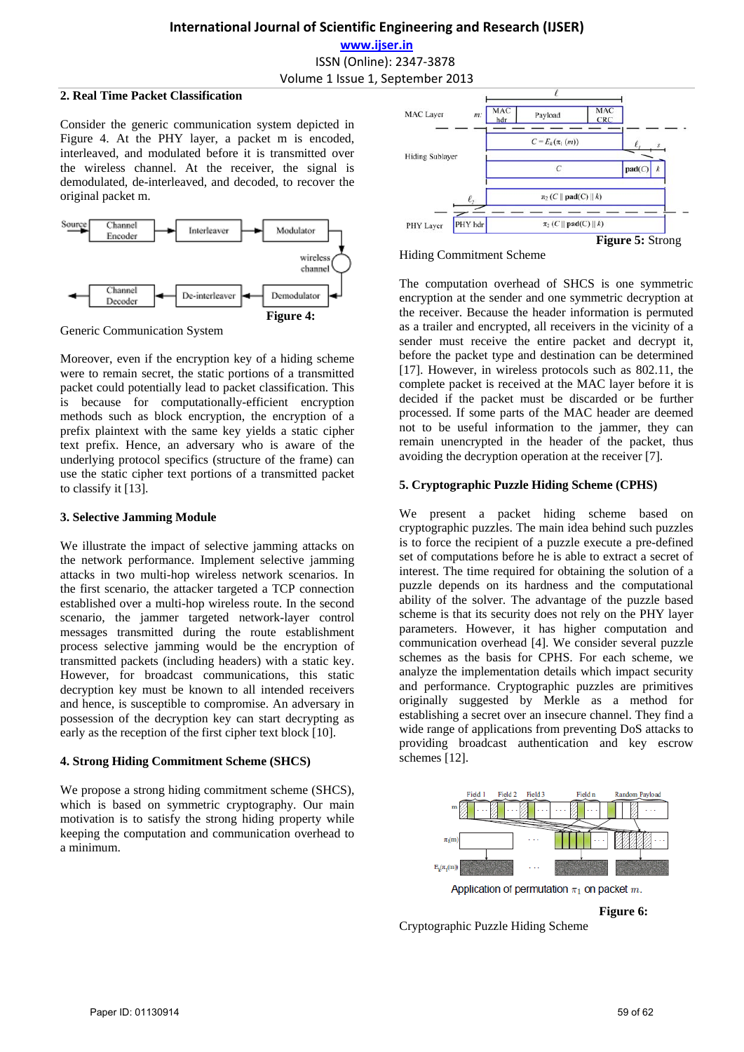**www.ijser.in**

ISSN (Online): 2347-3878 Volume 1 Issue 1, September 2013

#### **2. Real Time Packet Classification**

Consider the generic communication system depicted in Figure 4. At the PHY layer, a packet m is encoded, interleaved, and modulated before it is transmitted over the wireless channel. At the receiver, the signal is demodulated, de-interleaved, and decoded, to recover the original packet m.



Generic Communication System

Moreover, even if the encryption key of a hiding scheme were to remain secret, the static portions of a transmitted packet could potentially lead to packet classification. This is because for computationally-efficient encryption methods such as block encryption, the encryption of a prefix plaintext with the same key yields a static cipher text prefix. Hence, an adversary who is aware of the underlying protocol specifics (structure of the frame) can use the static cipher text portions of a transmitted packet to classify it [13].

#### **3. Selective Jamming Module**

We illustrate the impact of selective jamming attacks on the network performance. Implement selective jamming attacks in two multi-hop wireless network scenarios. In the first scenario, the attacker targeted a TCP connection established over a multi-hop wireless route. In the second scenario, the jammer targeted network-layer control messages transmitted during the route establishment process selective jamming would be the encryption of transmitted packets (including headers) with a static key. However, for broadcast communications, this static decryption key must be known to all intended receivers and hence, is susceptible to compromise. An adversary in possession of the decryption key can start decrypting as early as the reception of the first cipher text block [10].

#### **4. Strong Hiding Commitment Scheme (SHCS)**

We propose a strong hiding commitment scheme (SHCS), which is based on symmetric cryptography. Our main motivation is to satisfy the strong hiding property while keeping the computation and communication overhead to a minimum.



#### Hiding Commitment Scheme

The computation overhead of SHCS is one symmetric encryption at the sender and one symmetric decryption at the receiver. Because the header information is permuted as a trailer and encrypted, all receivers in the vicinity of a sender must receive the entire packet and decrypt it, before the packet type and destination can be determined [17]. However, in wireless protocols such as 802.11, the complete packet is received at the MAC layer before it is decided if the packet must be discarded or be further processed. If some parts of the MAC header are deemed not to be useful information to the jammer, they can remain unencrypted in the header of the packet, thus avoiding the decryption operation at the receiver [7].

#### **5. Cryptographic Puzzle Hiding Scheme (CPHS)**

We present a packet hiding scheme based on cryptographic puzzles. The main idea behind such puzzles is to force the recipient of a puzzle execute a pre-defined set of computations before he is able to extract a secret of interest. The time required for obtaining the solution of a puzzle depends on its hardness and the computational ability of the solver. The advantage of the puzzle based scheme is that its security does not rely on the PHY layer parameters. However, it has higher computation and communication overhead [4]. We consider several puzzle schemes as the basis for CPHS. For each scheme, we analyze the implementation details which impact security and performance. Cryptographic puzzles are primitives originally suggested by Merkle as a method for establishing a secret over an insecure channel. They find a wide range of applications from preventing DoS attacks to providing broadcast authentication and key escrow schemes [12].



Application of permutation  $\pi_1$  on packet m.

 **Figure 6:** 

Cryptographic Puzzle Hiding Scheme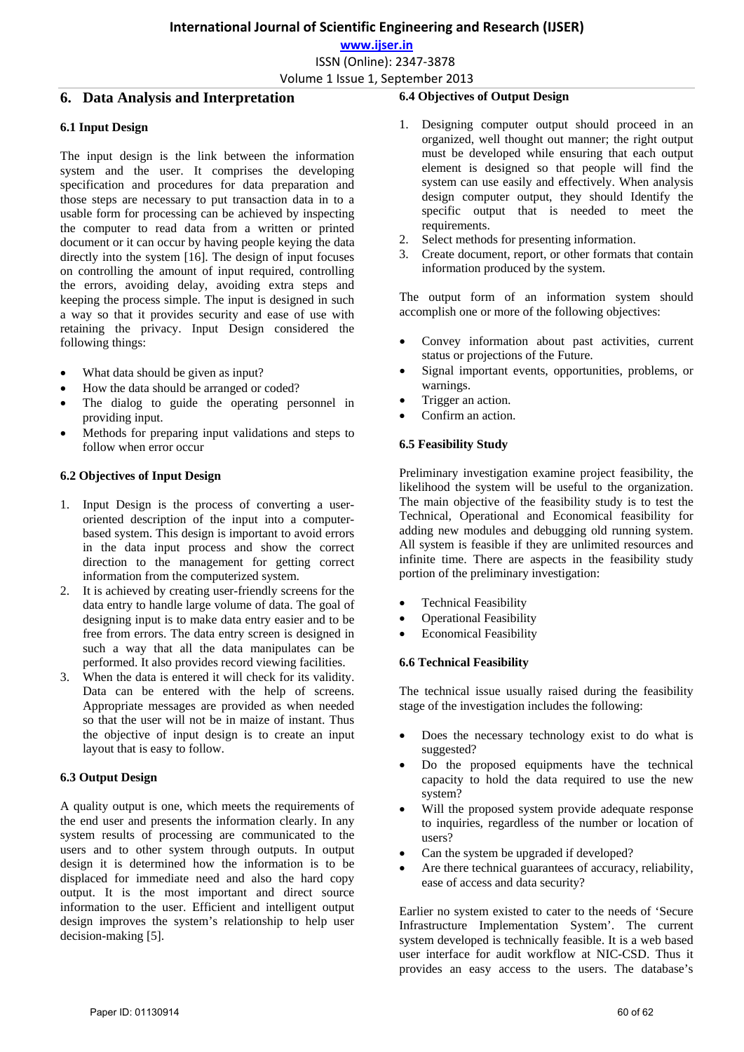**www.ijser.in**

ISSN (Online): 2347-3878 Volume 1 Issue 1, September 2013

**6. Data Analysis and Interpretation** 

## **6.1 Input Design**

The input design is the link between the information system and the user. It comprises the developing specification and procedures for data preparation and those steps are necessary to put transaction data in to a usable form for processing can be achieved by inspecting the computer to read data from a written or printed document or it can occur by having people keying the data directly into the system [16]. The design of input focuses on controlling the amount of input required, controlling the errors, avoiding delay, avoiding extra steps and keeping the process simple. The input is designed in such a way so that it provides security and ease of use with retaining the privacy. Input Design considered the following things:

- What data should be given as input?
- How the data should be arranged or coded?
- The dialog to guide the operating personnel in providing input.
- Methods for preparing input validations and steps to follow when error occur

## **6.2 Objectives of Input Design**

- 1. Input Design is the process of converting a useroriented description of the input into a computerbased system. This design is important to avoid errors in the data input process and show the correct direction to the management for getting correct information from the computerized system.
- 2. It is achieved by creating user-friendly screens for the data entry to handle large volume of data. The goal of designing input is to make data entry easier and to be free from errors. The data entry screen is designed in such a way that all the data manipulates can be performed. It also provides record viewing facilities.
- 3. When the data is entered it will check for its validity. Data can be entered with the help of screens. Appropriate messages are provided as when needed so that the user will not be in maize of instant. Thus the objective of input design is to create an input layout that is easy to follow.

## **6.3 Output Design**

A quality output is one, which meets the requirements of the end user and presents the information clearly. In any system results of processing are communicated to the users and to other system through outputs. In output design it is determined how the information is to be displaced for immediate need and also the hard copy output. It is the most important and direct source information to the user. Efficient and intelligent output design improves the system's relationship to help user decision-making [5].

## **6.4 Objectives of Output Design**

- 1. Designing computer output should proceed in an organized, well thought out manner; the right output must be developed while ensuring that each output element is designed so that people will find the system can use easily and effectively. When analysis design computer output, they should Identify the specific output that is needed to meet the requirements.
- 2. Select methods for presenting information.
- 3. Create document, report, or other formats that contain information produced by the system.

The output form of an information system should accomplish one or more of the following objectives:

- Convey information about past activities, current status or projections of the Future.
- Signal important events, opportunities, problems, or warnings.
- Trigger an action.
- Confirm an action.

## **6.5 Feasibility Study**

Preliminary investigation examine project feasibility, the likelihood the system will be useful to the organization. The main objective of the feasibility study is to test the Technical, Operational and Economical feasibility for adding new modules and debugging old running system. All system is feasible if they are unlimited resources and infinite time. There are aspects in the feasibility study portion of the preliminary investigation:

- Technical Feasibility
- Operational Feasibility
- Economical Feasibility

#### **6.6 Technical Feasibility**

The technical issue usually raised during the feasibility stage of the investigation includes the following:

- Does the necessary technology exist to do what is suggested?
- Do the proposed equipments have the technical capacity to hold the data required to use the new system?
- Will the proposed system provide adequate response to inquiries, regardless of the number or location of users?
- Can the system be upgraded if developed?
- Are there technical guarantees of accuracy, reliability, ease of access and data security?

Earlier no system existed to cater to the needs of 'Secure Infrastructure Implementation System'. The current system developed is technically feasible. It is a web based user interface for audit workflow at NIC-CSD. Thus it provides an easy access to the users. The database's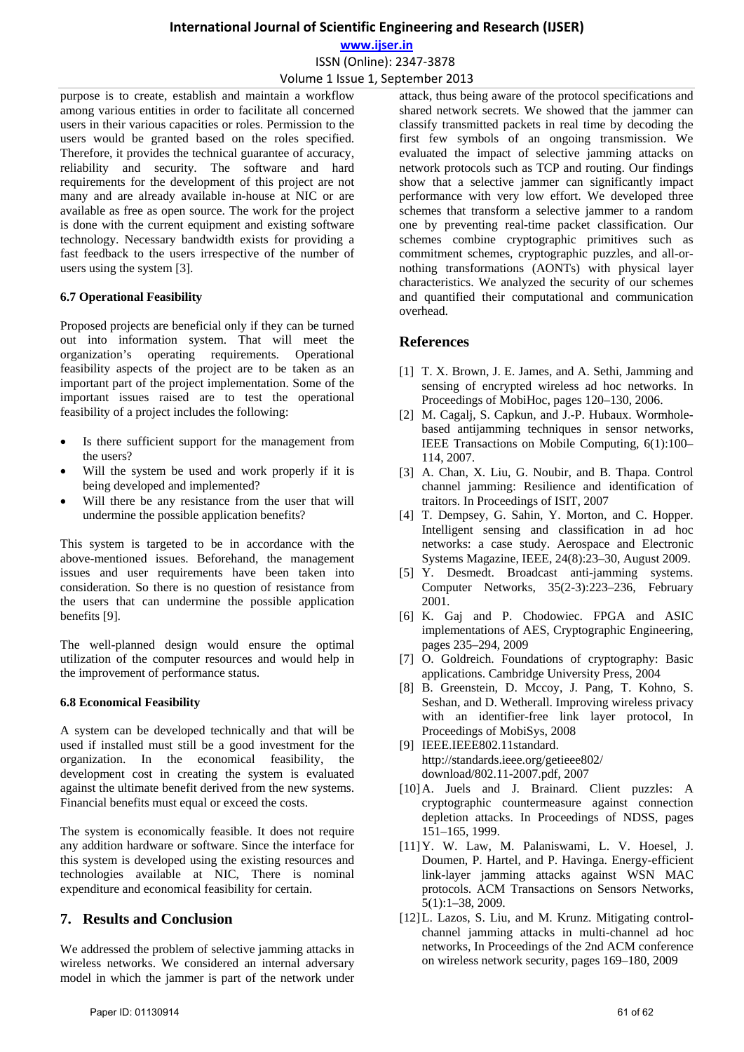**www.ijser.in**

ISSN (Online): 2347-3878

Volume 1 Issue 1, September 2013

purpose is to create, establish and maintain a workflow among various entities in order to facilitate all concerned users in their various capacities or roles. Permission to the users would be granted based on the roles specified. Therefore, it provides the technical guarantee of accuracy, reliability and security. The software and hard requirements for the development of this project are not many and are already available in-house at NIC or are available as free as open source. The work for the project is done with the current equipment and existing software technology. Necessary bandwidth exists for providing a fast feedback to the users irrespective of the number of users using the system [3].

## **6.7 Operational Feasibility**

Proposed projects are beneficial only if they can be turned out into information system. That will meet the organization's operating requirements. Operational feasibility aspects of the project are to be taken as an important part of the project implementation. Some of the important issues raised are to test the operational feasibility of a project includes the following:

- Is there sufficient support for the management from the users?
- Will the system be used and work properly if it is being developed and implemented?
- Will there be any resistance from the user that will undermine the possible application benefits?

This system is targeted to be in accordance with the above-mentioned issues. Beforehand, the management issues and user requirements have been taken into consideration. So there is no question of resistance from the users that can undermine the possible application benefits [9].

The well-planned design would ensure the optimal utilization of the computer resources and would help in the improvement of performance status.

#### **6.8 Economical Feasibility**

A system can be developed technically and that will be used if installed must still be a good investment for the organization. In the economical feasibility, the development cost in creating the system is evaluated against the ultimate benefit derived from the new systems. Financial benefits must equal or exceed the costs.

The system is economically feasible. It does not require any addition hardware or software. Since the interface for this system is developed using the existing resources and technologies available at NIC, There is nominal expenditure and economical feasibility for certain.

# **7. Results and Conclusion**

We addressed the problem of selective jamming attacks in wireless networks. We considered an internal adversary model in which the jammer is part of the network under attack, thus being aware of the protocol specifications and shared network secrets. We showed that the jammer can classify transmitted packets in real time by decoding the first few symbols of an ongoing transmission. We evaluated the impact of selective jamming attacks on network protocols such as TCP and routing. Our findings show that a selective jammer can significantly impact performance with very low effort. We developed three schemes that transform a selective jammer to a random one by preventing real-time packet classification. Our schemes combine cryptographic primitives such as commitment schemes, cryptographic puzzles, and all-ornothing transformations (AONTs) with physical layer characteristics. We analyzed the security of our schemes and quantified their computational and communication overhead.

# **References**

- [1] T. X. Brown, J. E. James, and A. Sethi, Jamming and sensing of encrypted wireless ad hoc networks. In Proceedings of MobiHoc, pages 120–130, 2006.
- [2] M. Cagalj, S. Capkun, and J.-P. Hubaux. Wormholebased antijamming techniques in sensor networks, IEEE Transactions on Mobile Computing, 6(1):100– 114, 2007.
- [3] A. Chan, X. Liu, G. Noubir, and B. Thapa. Control channel jamming: Resilience and identification of traitors. In Proceedings of ISIT, 2007
- [4] T. Dempsey, G. Sahin, Y. Morton, and C. Hopper. Intelligent sensing and classification in ad hoc networks: a case study. Aerospace and Electronic Systems Magazine, IEEE, 24(8):23–30, August 2009.
- [5] Y. Desmedt. Broadcast anti-jamming systems. Computer Networks, 35(2-3):223–236, February 2001.
- [6] K. Gaj and P. Chodowiec. FPGA and ASIC implementations of AES, Cryptographic Engineering, pages 235–294, 2009
- [7] O. Goldreich. Foundations of cryptography: Basic applications. Cambridge University Press, 2004
- [8] B. Greenstein, D. Mccoy, J. Pang, T. Kohno, S. Seshan, and D. Wetherall. Improving wireless privacy with an identifier-free link layer protocol, In Proceedings of MobiSys, 2008
- [9] IEEE.IEEE802.11standard. http://standards.ieee.org/getieee802/ download/802.11-2007.pdf, 2007
- [10]A. Juels and J. Brainard. Client puzzles: A cryptographic countermeasure against connection depletion attacks. In Proceedings of NDSS, pages 151–165, 1999.
- [11]Y. W. Law, M. Palaniswami, L. V. Hoesel, J. Doumen, P. Hartel, and P. Havinga. Energy-efficient link-layer jamming attacks against WSN MAC protocols. ACM Transactions on Sensors Networks, 5(1):1–38, 2009.
- [12] L. Lazos, S. Liu, and M. Krunz. Mitigating controlchannel jamming attacks in multi-channel ad hoc networks, In Proceedings of the 2nd ACM conference on wireless network security, pages 169–180, 2009